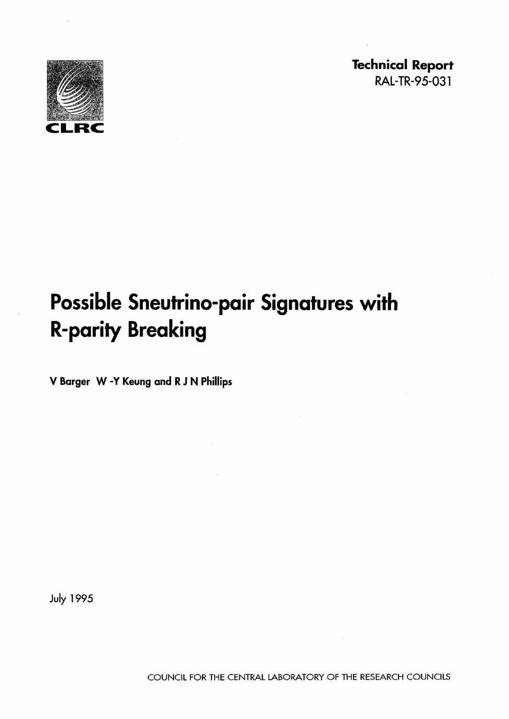

**Technical Report**  RAL-TR-95-031

# **Possible Sneutrino-pair Signatures with R-parity Breaking**

**V Barger W·Y Keung and RJN Phillips** 

July 1995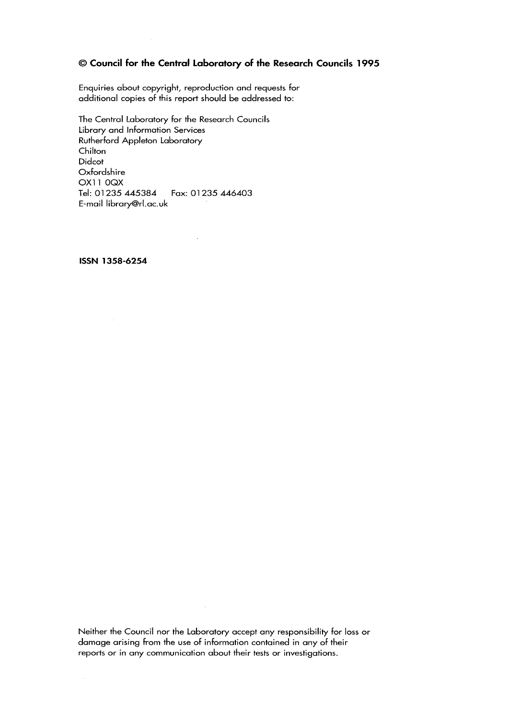### © **Council for the Central Laboratory of the Research Councils 1995**

Enquiries about copyright, reproduction and requests for additional copies of this report should be addressed to:

 $\bar{z}$ 

The Central Laboratory for the Research Councils Library and Information Services Rutherford Appleton Laboratory **Chilton** Didcot Oxfordshire OX11 OQX Tel: 01235445384 Fax: 01 235 446403 E-mail library@rl.ac.uk

**ISSN 1358-6254** 

Neither the Council nor the Laboratory accept any responsibility for loss or damage arising from the use of information contained in any of their reports or in any communication about their tests or investigations.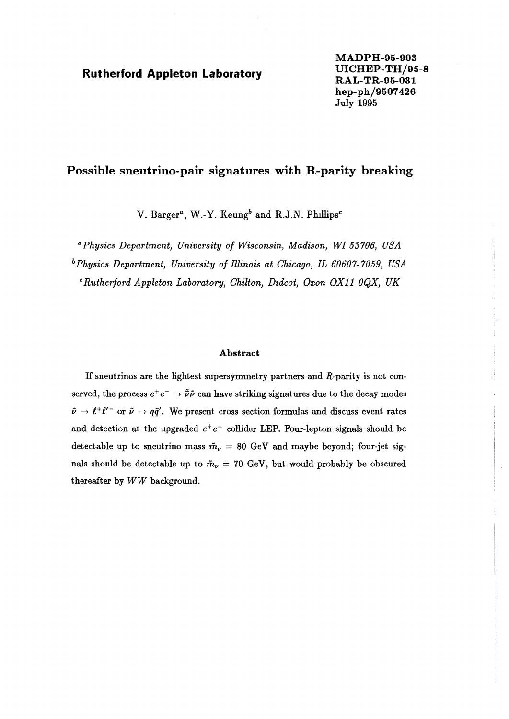# **UICHEP-TH/95-8 Rutherford Appleton laboratory RAL-TR-95-031**

**MADPH-95-903 hep-ph/9507426**  July 1995

# **Possible sneutrino-pair signatures with R-parity breaking**

V. Barger<sup>a</sup>, W.-Y. Keung<sup>b</sup> and R.J.N. Phillips<sup>c</sup>

<sup>a</sup> Physics Department, University of Wisconsin, Madison, WI 53706, USA b*Physics Department, University of illinois at Chicago, IL 60607-7059, USA* <sup>c</sup> Rutherford Appleton Laboratory, Chilton, Didcot, Oxon OX11 0QX, UK

#### Abstract

If sneutrinos are the lightest supersymmetry partners and R-parity is not conserved, the process  $e^+e^- \rightarrow \bar{\bar{\nu}}\bar{\nu}$  can have striking signatures due to the decay modes  $\tilde{\nu} \rightarrow \ell^+ \ell'^-$  or  $\tilde{\nu} \rightarrow q\bar{q}'$ . We present cross section formulas and discuss event rates and detection at the upgraded  $e^+e^-$  collider LEP. Four-lepton signals should be detectable up to sneutrino mass  $\tilde{m}_{\nu} = 80$  GeV and maybe beyond; four-jet signals should be detectable up to  $\tilde{m}_{\nu} = 70$  GeV, but would probably be obscured thereafter by *WW* background.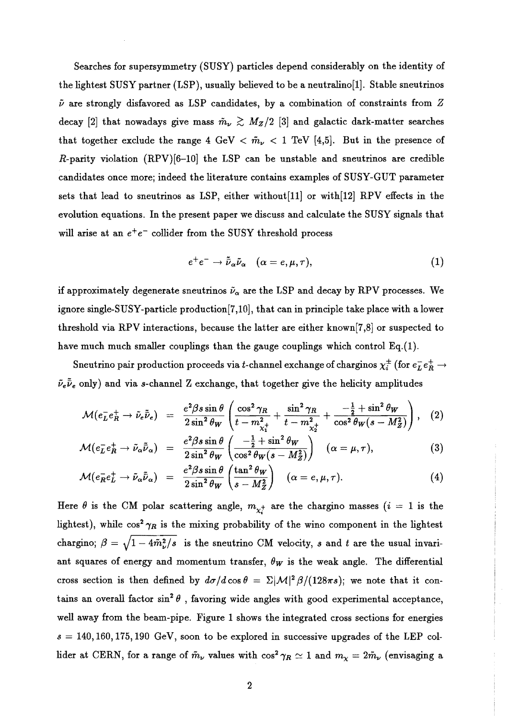Searches for supersymmetry (SUSY) particles depend considerably on the identity of the lightest SUSY partner (LSP), usually believed to be a neutralino[1]. Stable sneutrinos  $\tilde{\nu}$  are strongly disfavored as LSP candidates, by a combination of constraints from  $Z$ decay [2] that nowadays give mass  $\tilde{m}_{\nu} \gtrsim M_Z/2$  [3] and galactic dark-matter searches that together exclude the range 4 GeV  $< \tilde{m}_{\nu} < 1$  TeV [4,5]. But in the presence of R-parity violation  $(RPV)[6-10]$  the LSP can be unstable and sneutrinos are credible candidates once more; indeed the literature contains examples of SUSY-GUT parameter sets that lead to sneutrinos as LSP, either without[11] or with[12] RPV effects in the evolution equations. In the present paper we discuss and calculate the SUSY signals that will arise at an  $e^+e^-$  collider from the SUSY threshold process

$$
e^+e^- \to \tilde{\bar{\nu}}_{\alpha}\tilde{\nu}_{\alpha} \quad (\alpha = e, \mu, \tau), \tag{1}
$$

if approximately degenerate sneutrinos  $\tilde{\nu}_{\alpha}$  are the LSP and decay by RPV processes. We ignore single-SUSY-particle production[7 ,10], that can in principle take place with a lower threshold via RPV interactions, because the latter are either known [7,8] or suspected to have much much smaller couplings than the gauge couplings which control  $Eq.(1)$ .

Sneutrino pair production proceeds via t-channel exchange of charginos  $\chi_i^{\pm}$  (for  $e^-_L e^+_R \rightarrow$  $\tilde{\nu}_e \tilde{\bar{\nu}}_e$  only) and via s-channel Z exchange, that together give the helicity amplitudes

$$
\mathcal{M}(e^-_L e^+_R \to \tilde{\nu}_e \tilde{\bar{\nu}}_e) = \frac{e^2 \beta s \sin \theta}{2 \sin^2 \theta_W} \left( \frac{\cos^2 \gamma_R}{t - m_{\chi_1^+}^2} + \frac{\sin^2 \gamma_R}{t - m_{\chi_2^+}^2} + \frac{-\frac{1}{2} + \sin^2 \theta_W}{\cos^2 \theta_W (s - M_Z^2)} \right), \quad (2)
$$

$$
\mathcal{M}(e_L^- e_R^+ \to \tilde{\nu}_\alpha \tilde{\bar{\nu}}_\alpha) = \frac{e^2 \beta s \sin \theta}{2 \sin^2 \theta_W} \left( \frac{-\frac{1}{2} + \sin^2 \theta_W}{\cos^2 \theta_W (s - M_Z^2)} \right) \quad (\alpha = \mu, \tau), \tag{3}
$$

$$
\mathcal{M}(e_R^- e_L^+ \to \tilde{\nu}_\alpha \tilde{\bar{\nu}}_\alpha) = \frac{e^2 \beta s \sin \theta}{2 \sin^2 \theta_W} \left( \frac{\tan^2 \theta_W}{s - M_Z^2} \right) \quad (\alpha = e, \mu, \tau). \tag{4}
$$

Here  $\theta$  is the CM polar scattering angle,  $m_{\chi^+}$  are the chargino masses (i = 1 is the lightest), while  $\cos^2 \gamma_R$  is the mixing probability of the wino component in the lightest chargino;  $\beta = \sqrt{1 - 4\tilde{m}_{\nu}^2/s}$  is the sneutrino CM velocity, s and t are the usual invariant squares of energy and momentum transfer,  $\theta_W$  is the weak angle. The differential cross section is then defined by  $d\sigma/d\cos\theta = \Sigma |\mathcal{M}|^2 \beta/(128\pi s)$ ; we note that it contains an overall factor  $\sin^2\theta$ , favoring wide angles with good experimental acceptance, well away from the beam-pipe. Figure 1 shows the integrated cross sections for energies  $s = 140, 160, 175, 190 \text{ GeV}$ , soon to be explored in successive upgrades of the LEP collider at CERN, for a range of  $\tilde{m}_{\nu}$  values with  $\cos^2 \gamma_R \simeq 1$  and  $m_{\chi} = 2\tilde{m}_{\nu}$  (envisaging a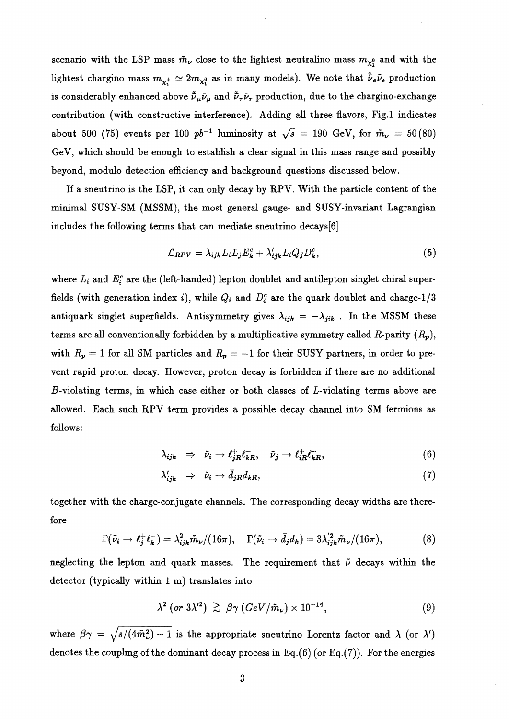scenario with the LSP mass  $\tilde{m}_{\nu}$  close to the lightest neutralino mass  $m_{\chi_1^0}$  and with the lightest chargino mass  $m_{\chi_1^+} \simeq 2m_{\chi_1^0}$  as in many models). We note that  $\tilde{\nu}_e \tilde{\nu}_e$  production is considerably enhanced above  $\bar{\tilde{\nu}}_{\mu} \tilde{\nu}_{\mu}$  and  $\bar{\tilde{\nu}}_{\tau} \tilde{\nu}_{\tau}$  production, due to the chargino-exchange contribution (with constructive interference). Adding all three flavors, Fig.l indicates about 500 (75) events per 100  $pb^{-1}$  luminosity at  $\sqrt{s} = 190$  GeV, for  $\tilde{m}_{\nu} = 50 (80)$ GeV, which should be enough to establish a clear signal in this mass range and possibly beyond, modulo detection efficiency and background questions discussed below.

If a sneutrino is the LSP, it can only decay by RPV. With the particle content of the minimal SUSY-SM (MSSM), the most general gauge- and SUSY-invariant Lagrangian includes the following terms that can mediate sneutrino decays[6]

$$
\mathcal{L}_{RPV} = \lambda_{ijk} L_i L_j E_k^c + \lambda'_{ijk} L_i Q_j D_k^c, \tag{5}
$$

where  $L_i$  and  $E_i^c$  are the (left-handed) lepton doublet and antilepton singlet chiral superfields (with generation index i), while  $Q_i$  and  $D_i^c$  are the quark doublet and charge-1/3 antiquark singlet superfields. Antisymmetry gives  $\lambda_{ijk} = -\lambda_{jik}$ . In the MSSM these terms are all conventionally forbidden by a multiplicative symmetry called R-parity  $(R_p)$ , with  $R_p = 1$  for all SM particles and  $R_p = -1$  for their SUSY partners, in order to prevent rapid proton decay. However, proton decay is forbidden if there are no additional  $B$ -violating terms, in which case either or both classes of  $L$ -violating terms above are allowed. Each such RPV term provides a possible decay channel into SM fermions as follows:

$$
\lambda_{ijk} \Rightarrow \tilde{\nu}_i \to \ell_{jR}^+ \ell_{kR}^- , \quad \tilde{\nu}_j \to \ell_{iR}^+ \ell_{kR}^- , \tag{6}
$$

$$
\lambda'_{ijk} \Rightarrow \tilde{\nu}_i \rightarrow \bar{d}_{jR} d_{kR}, \tag{7}
$$

together with the charge-conjugate channels. The corresponding decay widths are therefore

$$
\Gamma(\tilde{\nu}_i \to \ell_j^+ \ell_k^-) = \lambda_{ijk}^2 \tilde{m}_{\nu}/(16\pi), \quad \Gamma(\tilde{\nu}_i \to \bar{d}_j d_k) = 3\lambda_{ijk}^{'2} \tilde{m}_{\nu}/(16\pi), \tag{8}
$$

neglecting the lepton and quark masses. The requirement that  $\tilde{\nu}$  decays within the detector (typically within 1 m) translates into

$$
\lambda^2 \left( \text{or } 3\lambda^{\prime 2} \right) \gtrsim \beta \gamma \left( \text{GeV}/\tilde{m}_{\nu} \right) \times 10^{-14}, \tag{9}
$$

where  $\beta \gamma = \sqrt{s/(4\tilde{m}_{\nu}^2) - 1}$  is the appropriate sneutrino Lorentz factor and  $\lambda$  (or  $\lambda'$ ) denotes the coupling of the dominant decay process in Eq.(6) (or Eq.(7)). For the energies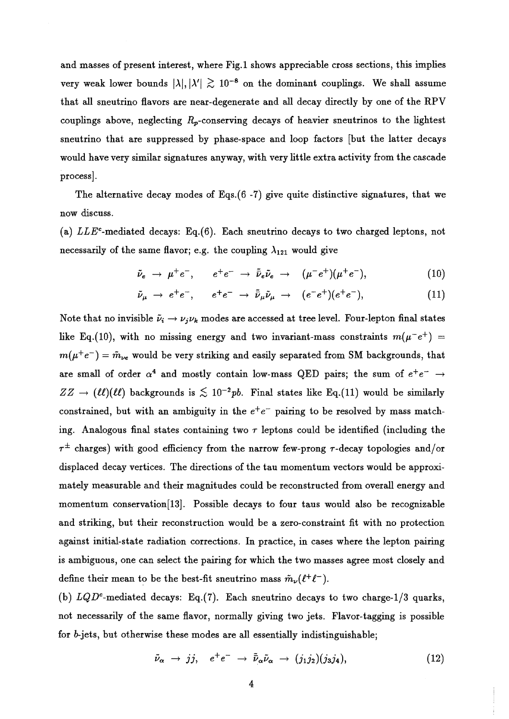and masses of present interest, where Fig.1 shows appreciable cross sections, this implies very weak lower bounds  $|\lambda|, |\lambda'| \gtrsim 10^{-8}$  on the dominant couplings. We shall assume that all sneutrino flavors are near-degenerate and all decay directly by one of the RPV couplings above, neglecting  $R_p$ -conserving decays of heavier sneutrinos to the lightest sneutrino that are suppressed by phase-space and loop factors [but the latter decays would have very similar signatures anyway, with very little extra activity from the cascade process].

The alternative decay modes of Eqs.(6 -7) give quite distinctive signatures, that we now discuss.

(a) *LLE<sup>c</sup>*-mediated decays: Eq.(6). Each sneutrino decays to two charged leptons, not necessarily of the same flavor; e.g. the coupling  $\lambda_{121}$  would give

$$
\tilde{\nu}_e \rightarrow \mu^+ e^- , \qquad e^+ e^- \rightarrow \tilde{\nu}_e \tilde{\nu}_e \rightarrow (\mu^- e^+) (\mu^+ e^- ) , \qquad (10)
$$

$$
\tilde{\nu}_{\mu} \rightarrow e^+e^-, \qquad e^+e^- \rightarrow \tilde{\nu}_{\mu}\tilde{\nu}_{\mu} \rightarrow (e^-e^+)(e^+e^-), \tag{11}
$$

Note that no invisible  $\tilde{\nu}_i \rightarrow \nu_j \nu_k$  modes are accessed at tree level. Four-lepton final states like Eq.(10), with no missing energy and two invariant-mass constraints  $m(\mu^-e^+)$  =  $m(\mu^+e^-) = \tilde{m}_{\nu e}$  would be very striking and easily separated from SM backgrounds, that are small of order  $\alpha^4$  and mostly contain low-mass QED pairs; the sum of  $e^+e^- \rightarrow$  $ZZ \rightarrow (\ell\ell)(\ell\ell)$  backgrounds is  $\lesssim 10^{-2}pb$ . Final states like Eq.(11) would be similarly constrained, but with an ambiguity in the  $e^+e^-$  pairing to be resolved by mass matching. Analogous final states containing two  $\tau$  leptons could be identified (including the  $\tau^{\pm}$  charges) with good efficiency from the narrow few-prong  $\tau$ -decay topologies and/or displaced decay vertices. The directions of the tau momentum vectors would be approximately measurable and their magnitudes could be reconstructed from overall energy and momentum conservation[13]. Possible decays to four taus would also be recognizable and striking, but their reconstruction would be a zero-constraint fit with no protection against initial-state radiation corrections. **In** practice, in cases where the lepton pairing is ambiguous, one can select the pairing for which the two masses agree most closely and define their mean to be the best-fit sneutrino mass  $\tilde{m}_{\nu}(\ell^+\ell^-)$ .

(b) *LQDc-mediated* decays: Eq.(7). Each sneutrino decays to two charge-1/3 quarks, not necessarily of the same flavor, normally giving two jets. Flavor-tagging is possible for *b-jets,* but otherwise these modes are all essentially indistinguishable;

$$
\tilde{\nu}_{\alpha} \rightarrow j j, \quad e^+ e^- \rightarrow \tilde{\nu}_{\alpha} \tilde{\nu}_{\alpha} \rightarrow (j_1 j_2)(j_3 j_4), \qquad (12)
$$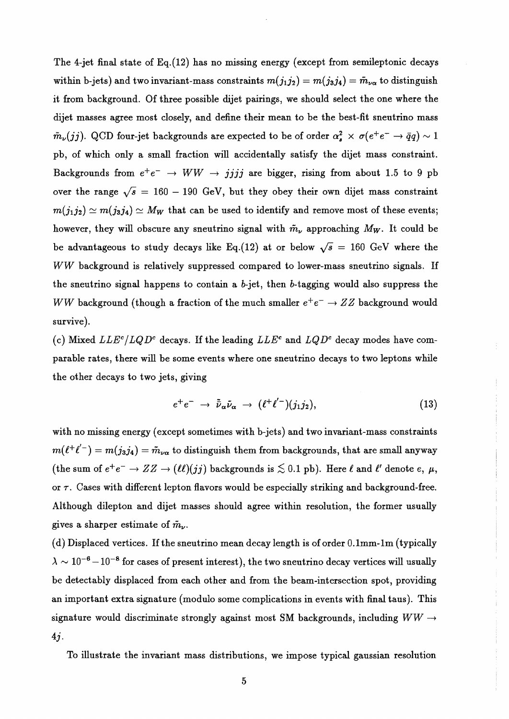The 4-jet final state of Eq.(12) has no missing energy (except from semileptonic decays within b-jets) and two invariant-mass constraints  $m(j_1j_2) = m(j_3j_4) = \tilde{m}_{\nu\alpha}$  to distinguish it from background. Of three possible dijet pairings, we should select the one where the dijet masses agree most closely, and define their mean to be the best-fit sneutrino mass  $\tilde{m}_{\nu}(jj)$ . QCD four-jet backgrounds are expected to be of order  $\alpha_s^2 \times \sigma(e^+e^- \to \bar{q}q) \sim 1$ pb, of which only a small fraction will accidentally satisfy the dijet mass constraint. Backgrounds from  $e^+e^- \rightarrow WW \rightarrow jjjj$  are bigger, rising from about 1.5 to 9 pb over the range  $\sqrt{s}$  = 160 - 190 GeV, but they obey their own dijet mass constraint  $m(j_1j_2) \simeq m(j_3j_4) \simeq M_W$  that can be used to identify and remove most of these events; however, they will obscure any sneutrino signal with  $\tilde{m}_{\nu}$  approaching  $M_W$ . It could be be advantageous to study decays like Eq.(12) at or below  $\sqrt{s}$  = 160 GeV where the WW background is relatively suppressed compared to lower-mass sneutrino signals. If the sneutrino signal happens to contain a  $b$ -jet, then  $b$ -tagging would also suppress the WW background (though a fraction of the much smaller  $e^+e^- \rightarrow ZZ$  background would survive).

(c) Mixed  $LLE<sup>c</sup>/LQD<sup>c</sup>$  decays. If the leading  $LLE<sup>c</sup>$  and  $LQD<sup>c</sup>$  decay modes have comparable rates, there will be some events where one sneutrino decays to two leptons while the other decays to two jets, giving

$$
e^+e^- \to \tilde{\bar{\nu}}_\alpha \tilde{\nu}_\alpha \to (\ell^+\ell'^-)(j_1j_2), \tag{13}
$$

with no missing energy (except sometimes with b-jets) and two invariant-mass constraints  $m(\ell^+\ell'-)=m(j_3j_4)=\tilde{m}_{\nu\alpha}$  to distinguish them from backgrounds, that are small anyway (the sum of  $e^+e^- \to ZZ \to (\ell\ell)(jj)$  backgrounds is  $\lesssim 0.1$  pb). Here  $\ell$  and  $\ell'$  denote e,  $\mu$ , or  $\tau$ . Cases with different lepton flavors would be especially striking and background-free. Although dilepton and dijet masses should agree within resolution, the former usually gives a sharper estimate of  $\tilde{m}_{\nu}$ .

(d) Displaced vertices. If the sneutrino mean decay length is of order  $0.1$ mm-1m (typically  $\lambda \sim 10^{-6} - 10^{-8}$  for cases of present interest), the two sneutrino decay vertices will usually be detect ably displaced from each other and from the beam-intersection spot, providing an important extra signature (modulo some complications in events with final taus). This signature would discriminate strongly against most SM backgrounds, including  $WW \rightarrow$ *4j.* 

To illustrate the invariant mass distributions, we impose typical gaussian resolution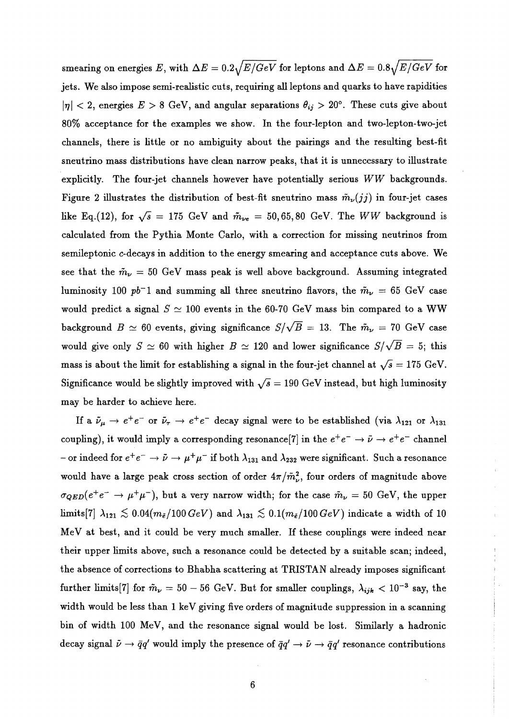smearing on energies E, with  $\Delta E = 0.2\sqrt{E/GeV}$  for leptons and  $\Delta E = 0.8\sqrt{E/GeV}$  for jets. We also impose semi-realistic cuts, requiring all leptons and quarks to have rapidities  $|\eta|$  < 2, energies  $E > 8$  GeV, and angular separations  $\theta_{ij} > 20^{\circ}$ . These cuts give about SO% acceptance for the examples we show. In the four-lepton and two-Iepton-two-jet channels, there is little or no ambiguity about the pairings and the resulting best-fit sneutrino mass distributions have clean narrow peaks, that it is unnecessary to illustrate explicitly. The four-jet channels however have potentially serious WW backgrounds. Figure 2 illustrates the distribution of best-fit sneutrino mass  $\tilde{m}_{\nu}(jj)$  in four-jet cases like Eq.(12), for  $\sqrt{s}$  = 175 GeV and  $\tilde{m}_{\nu e}$  = 50, 65, 80 GeV. The WW background is calculated from the Pythia Monte Carlo, with a correction for missing neutrinos from semileptonic c-decays in addition to the energy smearing and acceptance cuts above. We see that the  $\tilde{m}_{\nu} = 50$  GeV mass peak is well above background. Assuming integrated luminosity 100  $pb^{-1}$  and summing all three sneutrino flavors, the  $\tilde{m}_{\nu} = 65$  GeV case would predict a signal  $S \simeq 100$  events in the 60-70 GeV mass bin compared to a WW background  $B \simeq 60$  events, giving significance  $S/\sqrt{B} = 13$ . The  $\tilde{m}_{\nu} = 70$  GeV case would give only  $S \simeq 60$  with higher  $B \simeq 120$  and lower significance  $S/\sqrt{B} = 5$ ; this mass is about the limit for establishing a signal in the four-jet channel at  $\sqrt{s} = 175$  GeV. Significance would be slightly improved with  $\sqrt{s} = 190$  GeV instead, but high luminosity may be harder to achieve here.

If a  $\tilde{\nu}_{\mu} \to e^+e^-$  or  $\tilde{\nu}_{\tau} \to e^+e^-$  decay signal were to be established (via  $\lambda_{121}$  or  $\lambda_{131}$ coupling), it would imply a corresponding resonance [7] in the  $e^+e^- \rightarrow \tilde{\nu} \rightarrow e^+e^-$  channel - or indeed for  $e^+e^- \to \tilde{\nu} \to \mu^+\mu^-$  if both  $\lambda_{131}$  and  $\lambda_{232}$  were significant. Such a resonance would have a large peak cross section of order  $4\pi/\tilde{m}_{\nu}^2$ , four orders of magnitude above  $\sigma_{QED}(e^+e^- \rightarrow \mu^+\mu^-)$ , but a very narrow width; for the case  $\tilde{m}_{\nu} = 50$  GeV, the upper limits[7]  $\lambda_{121} \lesssim 0.04(m_{\tilde{e}}/100~GeV)$  and  $\lambda_{131} \lesssim 0.1(m_{\tilde{e}}/100~GeV)$  indicate a width of 10 MeV at best, and it could be very much smaller. If these couplings were indeed near their upper limits above, such a resonance could be detected by a suitable scanj indeed, the absence of corrections to Bhabha scattering at TRISTAN already imposes significant further limits[7] for  $\tilde{m}_{\nu} = 50 - 56$  GeV. But for smaller couplings,  $\lambda_{ijk} < 10^{-3}$  say, the width would be less than  $1 \text{ keV}$  giving five orders of magnitude suppression in a scanning bin of width 100 MeV, and the resonance signal would be lost. Similarly a hadronic decay signal  $\tilde{\nu} \to \bar{q}q'$  would imply the presence of  $\bar{q}q' \to \tilde{\nu} \to \bar{q}q'$  resonance contributions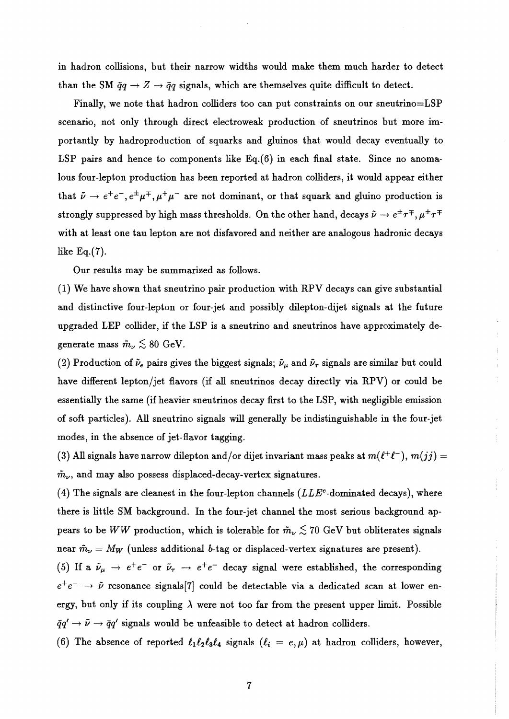in hadron collisions, but their narrow widths would make them much harder to detect than the SM  $\tilde{q}q \rightarrow Z \rightarrow \tilde{q}q$  signals, which are themselves quite difficult to detect.

Finally, we note that hadron colliders too can put constraints on our sneutrino=LSP scenario, not only through direct electroweak production of sneutrinos but more importantly by hadroproduction of squarks and gluinos that would decay eventually to LSP pairs and hence to components like Eq.(6) in each final state. Since no anomalous four-lepton production has been reported at hadron colliders, it would appear either that  $\tilde{\nu} \to e^+e^-, e^{\pm}\mu^{\mp}, \mu^+\mu^-$  are not dominant, or that squark and gluino production is strongly suppressed by high mass thresholds. On the other hand, decays  $\tilde{\nu} \to e^{\pm} \tau^{\mp}, \mu^{\pm} \tau^{\mp}$ with at least one tau lepton are not disfavored and neither are analogous hadronic decays like Eq.(7).

Our results may be summarized as follows.

(1) We have shown that sneutrino pair production with RPV decays can give substantial and distinctive four-lepton or four-jet and possibly dilepton-dijet signals at the future upgraded LEP collider, if the LSP is a sneutrino and sneutrinos have approximately degenerate mass  $\tilde{m}_{\nu} \lesssim 80 \text{ GeV}.$ 

(2) Production of  $\tilde{\nu}_e$  pairs gives the biggest signals;  $\tilde{\nu}_\mu$  and  $\tilde{\nu}_\tau$  signals are similar but could have different lepton/jet flavors (if all sneutrinos decay directly via RPV) or could be essentially the same (if heavier sneutrinos decay first to the LSP, with negligible emission of soft particles). All sneutrino signals will generally be indistinguishable in the four-jet modes, in the absence of jet-flavor tagging.

 $\tilde{m}_{\nu}$ , and may also possess displaced-decay-vertex signatures. (3) All signals have narrow dilepton and/or dijet invariant mass peaks at  $m(\ell^+\ell^-), m(jj) =$ 

(4) The signals are cleanest in the four-lepton channels  $(LLE<sup>c</sup>$ -dominated decays), where there is little SM background. In the four-jet channel the most serious background appears to be *WW* production, which is tolerable for  $\tilde{m}_{\nu} \lesssim 70$  GeV but obliterates signals near  $\tilde{m}_{\nu} = M_W$  (unless additional b-tag or displaced-vertex signatures are present).

(5) If a  $\tilde{\nu}_{\mu} \rightarrow e^+e^-$  or  $\tilde{\nu}_{\tau} \rightarrow e^+e^-$  decay signal were established, the corresponding  $e^+e^- \rightarrow \tilde{\nu}$  resonance signals [7] could be detectable via a dedicated scan at lower energy, but only if its coupling  $\lambda$  were not too far from the present upper limit. Possible  $\bar{q}q' \rightarrow \tilde{\nu} \rightarrow \bar{q}q'$  signals would be unfeasible to detect at hadron colliders.

(6) The absence of reported  $\ell_1 \ell_2 \ell_3 \ell_4$  signals  $(\ell_i = e, \mu)$  at hadron colliders, however,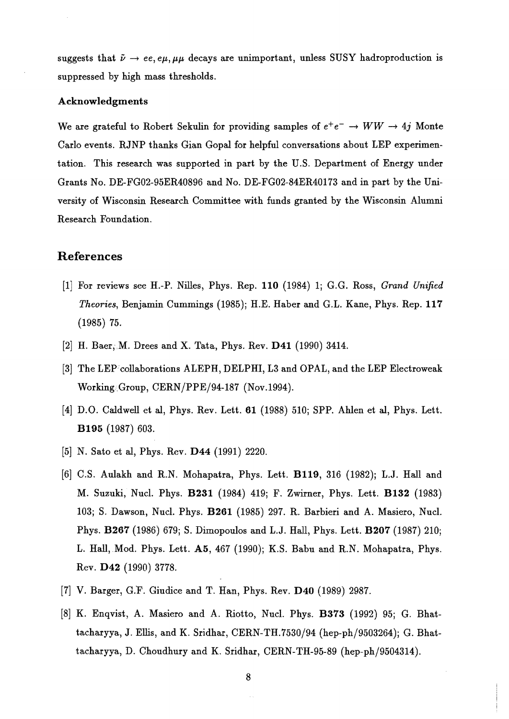suggests that  $\tilde{\nu} \rightarrow ee, e\mu, \mu\mu$  decays are unimportant, unless SUSY hadroproduction is suppressed by high mass thresholds.

#### **Acknowledgments**

We are grateful to Robert Sekulin for providing samples of  $e^+e^- \rightarrow WW \rightarrow 4j$  Monte Carlo events. RJNP thanks Gian Gopal for helpful conversations about LEP experimentation. This research was supported in part by the U.S. Department of Energy under Grants No. DE-FG02-95ER40896 and No. DE-FG02-84ER40173 and in part by the University of Wisconsin Research Committee with funds granted by the Wisconsin Alumni Research Foundation.

# **References**

- [1] For reviews see H.-P. Nilles, Phys. Rep. **110** (1984) Ii G.G. Ross, *Grand Unified Theories, Benjamin Cummings (1985); H.E. Haber and G.L. Kane, Phys. Rep. 117* (1985) 75.
- [2] H. Baer, M. Drees and X. Tata, Phys. Rev. D41 (1990) 3414.
- [3] The LEP collaborations ALEPH, DELPHI, L3 and OPAL, and the LEP Electroweak Working Group, CERN/PPE/94-187 (Nov.1994).
- [4] D.O. Caldwell et al, Phys. Rev. Lett. **61** (1988) 510; SPP. Ahlen et al, Phys. Lett. **B195** (1987) 603.
- [5] N. Sato et al, Phys. Rev. **D44** (1991) 2220.
- [6] C.S. Aulakh and R.N. Mohapatra, Phys. Lett. **B119,** 316 (1982); L.J. Hall and M. Suzuki, NucL Phys. **B231** (1984) 419; F. Zwirner, Phys. Lett. **B132** (1983) 103; S. Dawson, Nucl. Phys. **B261** (1985) 297. R. Barbieri and A. Masiero, Nucl. Phys. **B267** (1986) 679; S. Dimopoulos and L.J. Hall, Phys. Lett. **B207** (1987) 210; L. Hall, Mod. Phys. Lett. A5, 467 (1990); K.S. Babu and R.N. Mohapatra, Phys. Rev. **D42** (1990) 3778.
- [7] V. Barger, G.F. Giudice and T. Han, Phys. Rev. **D40** (1989) 2987.
- [8] K. Enqvist, A. Masiero and A. Riotto) Nucl. Phys. **B373** (1992) 95; G. Bhattacharyya, J. Ellis, and K. Sridhar, CERN-TH.7530/94 (hep-ph/9503264); G. Bhattacharyya, D. Choudhury and K. Sridhar, CERN-TH-95-89 (hep-ph/9504314).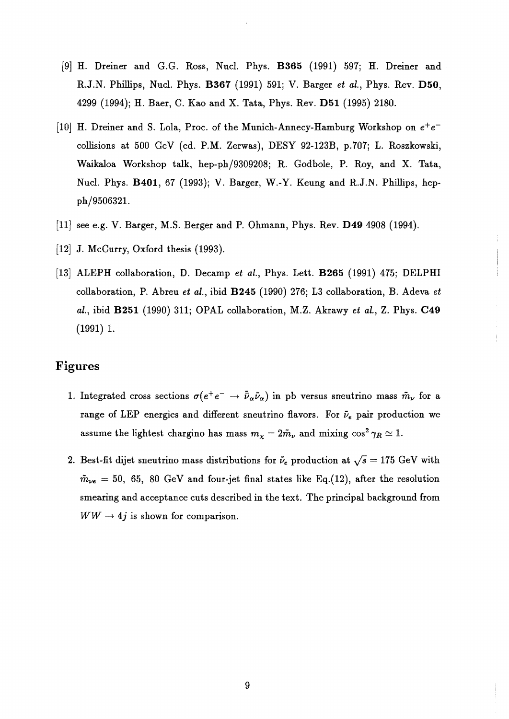- [9] H. Dreiner and G.G. Ross, Nucl. Phys. **B365** (1991) 597; H. Dreiner and R.J.N. Phillips, Nucl. Phys. **B367** (1991) 591; V. Barger *et al.,* Phys. Rev. **D50,**  4299 (1994); H. Baer, C. Kao and X. Tata, Phys. Rev. **D51** (1995) 2180.
- [10] H. Dreiner and S. Lola, Proc. of the Munich-Annecy-Hamburg Workshop on  $e^+e^$ collisions at 500 GeV (ed. P.M. Zerwas), DESY 92-123B, p.707; L. Roszkowski, Waikaloa Workshop talk, hep-ph/9309208; R. Godbole, P. Roy, and X. Tata, Nucl. Phys. **B401,** 67 (1993); V. Barger, W.-Y. Keung and R.J.N. Phillips, hepph/9506321.
- [11] see e.g. V. Barger, M.S. Berger and P. Ohmann, Phys. Rev. **D49** 4908 (1994).
- [12]  $J.$  McCurry, Oxford thesis (1993).
- [13] ALEPH collaboration, D. Decamp *et ai.,* Phys. Lett. **B265** (1991) 475; DELPHI collaboration, P. Abreu *et al.,* ibid **B245** (1990) 276; L3 collaboration, B. Adeva *et al.,* ibid **B251** (1990) 311; OPAL collaboration, M.Z. Akrawy *et al.,* Z. Phys. **C49**  (1991) 1.

# **Figures**

- 1. Integrated cross sections  $\sigma(e^+e^- \to \bar{\bar{\nu}}_\alpha \tilde{\nu}_\alpha)$  in pb versus sneutrino mass  $\tilde{m}_{\nu}$  for a range of LEP energies and different sneutrino flavors. For  $\tilde{\nu}_e$  pair production we assume the lightest chargino has mass  $m_{\chi} = 2\tilde{m}_{\nu}$  and mixing  $\cos^2 \gamma_R \simeq 1$ .
- 2. Best-fit dijet sneutrino mass distributions for  $\tilde{\nu}_e$  production at  $\sqrt{s} = 175$  GeV with  $\tilde{m}_{\nu e} = 50$ , 65, 80 GeV and four-jet final states like Eq.(12), after the resolution smearing and acceptance cuts described in the text. The principal background from  $WW \rightarrow 4j$  is shown for comparison.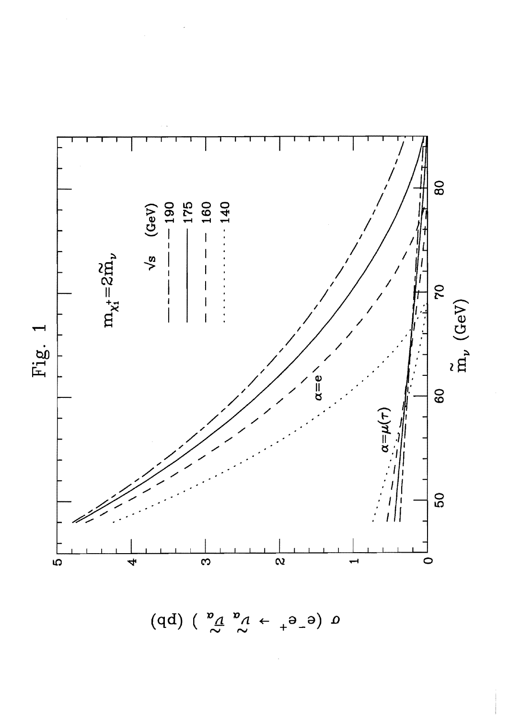

 $\alpha$  (e\_e\_  $\rightarrow \alpha^{\alpha}$  ) (pp)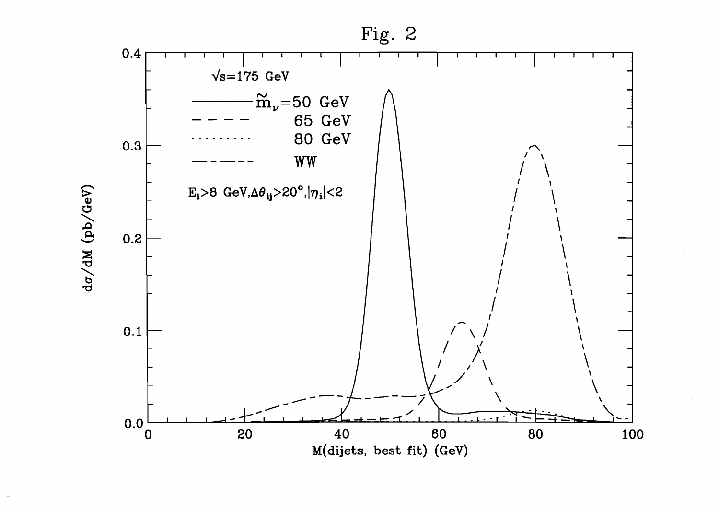